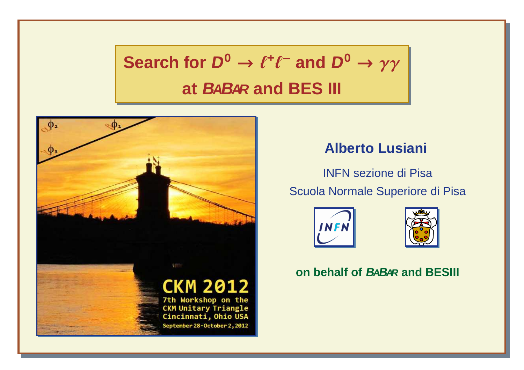# $\textbf{Search for } D^0 \rightarrow \ell^+\ell^- \text{ and } D^0 \rightarrow \gamma\gamma$ **at <sup>B</sup>ABAR and BES III**



#### **Alberto Lusiani**

INFN sezione di PisaScuola Normale Superiore di Pisa





#### **on behalf of <sup>B</sup>ABAR and BESIII**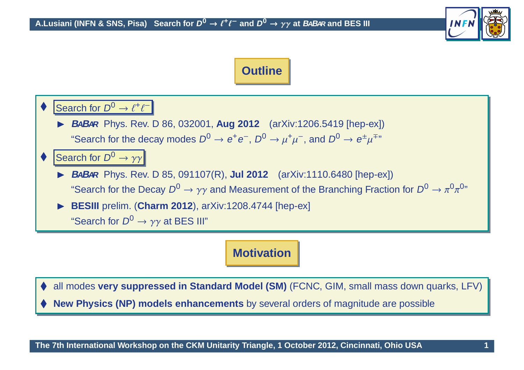





#### $\blacktriangleright$  **<sup>B</sup>ABAR** Phys. Rev. <sup>D</sup> 85, 091107(R), **Jul <sup>2012</sup>** (arXiv:1110.6480 [hep-ex]) "Search for the Decay <sup>D</sup><sup>0</sup> <sup>→</sup> γγ and Measurement of the Branching Fraction for <sup>D</sup><sup>0</sup> <sup>→</sup> <sup>π</sup>0π0"

 $\blacktriangleright$ **BESIII** prelim. (**Charm <sup>2012</sup>**), arXiv:1208.4744 [hep-ex]

"Search for  $D^0 \to \gamma \gamma$  at BES III"

#### **Motivation**

♦ all modes **very suppressed in Standard Model (SM)** (FCNC, GIM, small mass down quarks, LFV)

♦ **New Physics (NP) models enhancements** by several orders of magnitude are possible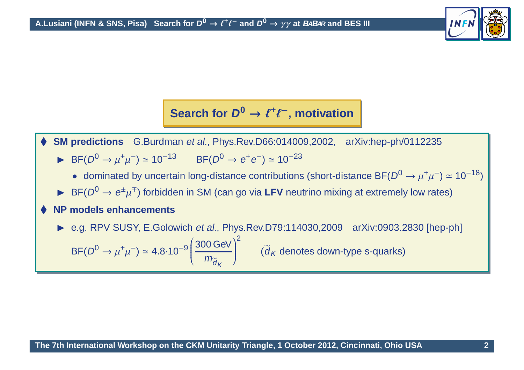

# **Search for <sup>D</sup><sup>0</sup>** <sup>→</sup> <sup>ℓ</sup>**<sup>+</sup>**ℓ<sup>−</sup>**, motivation**

♦ **SM predictions** G.Burdman et al., Phys.Rev.D66:014009,2002, arXiv:hep-ph/0112235

- ► BF( $D^0 \to \mu^+\mu^-$ ) ≈ 10<sup>-13</sup> BF( $D^0 \to e^+e^-$ ) ≈ 10<sup>-23</sup>
	- dominated by uncertain long-distance contributions (short-distance BF( $D^0 \rightarrow \mu^+\mu^-$ ) ≃ 10<sup>-18</sup>)
- ► BF( $D^0 \rightarrow e^{\pm} \mu^{\mp}$ ) forbidden in SM (can go via LFV neutrino mixing at extremely low rates)

#### ♦ **NP models enhancements**

► e.g. RPV SUSY, E.Golowich *et al.*, Phys.Rev.D79:114030,2009 arXiv:0903.2830 [hep-ph]

 $\mathsf{BF}(D^0\to$  $\rightarrow \mu^+\mu^-$ ) ≃ 4.8·10<sup>-9</sup>  $\left(\frac{300 \text{ GeV}}{m_{\widetilde{d}_K}}\right)^2$  ( $\widetilde{d}_K$  denotes down-type s-quarks)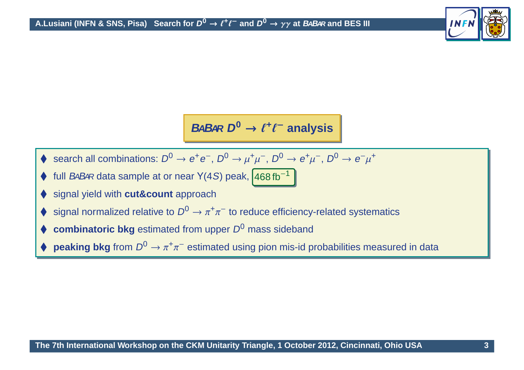

**BABAR <sup>D</sup><sup>0</sup>** <sup>→</sup> <sup>ℓ</sup>**<sup>+</sup>**ℓ<sup>−</sup> **analysis**

- $\blacklozenge$  search all combinations:  $D^0 \rightarrow e^+e^-,$   $D^0 \rightarrow \mu^+\mu^-,$   $D^0 \rightarrow e^+\mu^-,$   $D^0 \rightarrow e^-\mu^+$
- ♦ full BABAR data sample at or near Y(4S) peak,  $\sqrt{468 \text{ fb}^{-1}}$
- ♦ signal yield with **cut&count** approach
- ♦  $\blacklozenge$  signal normalized relative to  $D^0 \to \pi^+ \pi^-$  to reduce efficiency-related systematics
- ♦ **combinatoric bkg** estimated from upper  $D^0$  mass sideband
- ♦  $\blacklozenge$  **peaking bkg** from  $D^0 \to \pi^+\pi^-$  estimated using pion mis-id probabilities measured in data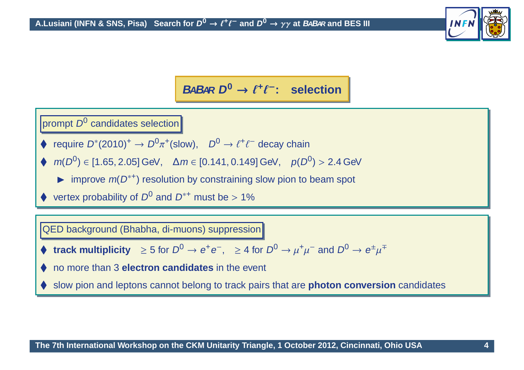

### **BABAR <sup>D</sup><sup>0</sup>** <sup>→</sup> <sup>ℓ</sup>**<sup>+</sup>**ℓ<sup>−</sup>**: selection**

prompt  $D^0$  candidates selection

- require  $D^*(2010)^+ \to D^0 \pi^*(\text{slow})$ ,  $D^0 \to \ell^+ \ell^-$  decay chain
- $\blacklozenge$   $m(D^0) \in [1.65, 2.05]$  GeV,  $\Delta m \in [0.141, 0.149]$  GeV,  $p(D^0) > 2.4$  GeV
	- improve  $m(D^{*+})$  resolution by constraining slow pion to beam spot
- ♦ vertex probability of  $D^0$  and  $D^{*+}$  must be > 1%

QED background (Bhabha, di-muons) suppression

**track multiplicity**  $\geq 5$  for  $D^0 \to e^+e^-, \geq 4$  for  $D^0 \to \mu^+\mu^-$  and  $D^0 \to e^{\pm}\mu^{\mp}$ 

♦ no more than <sup>3</sup> **electron candidates** in the event

♦ slow pion and leptons cannot belong to track pairs that are **photon conversion** candidates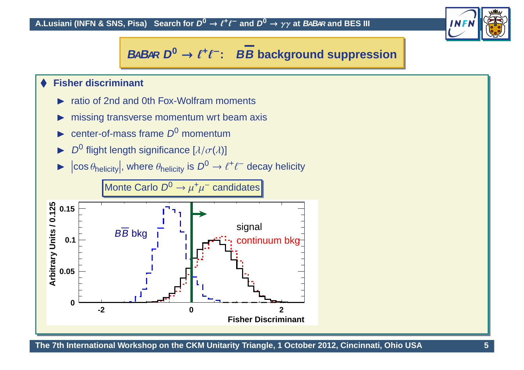

# **BABAR <sup>D</sup><sup>0</sup>** <sup>→</sup> <sup>ℓ</sup>**<sup>+</sup>**ℓ<sup>−</sup>**: BB background suppression**

#### ♦ **Fisher discriminant**

- $\blacktriangleright$ ratio of 2nd and 0th Fox-Wolfram moments
- $\blacktriangleright$ missing transverse momentum wrt beam axis
- $\blacktriangleright$ center-of-mass frame  $D^0$  momentum
- $\blacktriangleright$ D<sup>0</sup> flight length significance  $[\lambda/\sigma(\lambda)]$
- $\blacktriangleright$   $|\cos \theta_{\text{helicity}}|$ , where  $\theta_{\text{helicity}}$  is  $D^0 \rightarrow \ell^+ \ell^-$  decay helicity



The 7th International Workshop on the CKM Unitarity Triangle, 1 October 2012, Cincinnati, Ohio USA 75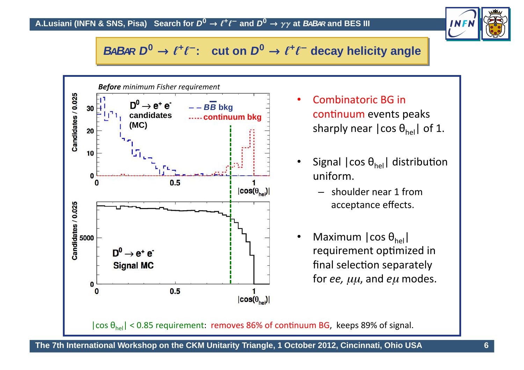

# **BABAR <sup>D</sup><sup>0</sup>** <sup>→</sup> <sup>ℓ</sup>**<sup>+</sup>**ℓ<sup>−</sup>**: cut on <sup>D</sup><sup>0</sup>** <sup>→</sup> <sup>ℓ</sup>**<sup>+</sup>**ℓ<sup>−</sup> **decay helicity angle**



- •Combinatoric BG in continuum events peaks sharply near |cos  $\theta_{\sf hel}$ | of 1.
- •• Signal  $| \cos \theta_{\sf hel} |$  distribution uniform.
	- $-$  shoulder near 1 from acceptance effects.
- • $\bullet$  Maximum  $|\cos \theta_{\text{hel}}|$ requirement optimized in  $\mathop{{\mathsf{final}}}$  selection separately  $\,$  for *ee,*  $\mu\mu$ *,* and  $e\mu$  modes.

 $|\cos \theta_{\sf hel}|$  < 0.85 requirement: r<mark>emoves 86% of continuum BG</mark>, keeps 89% of signal.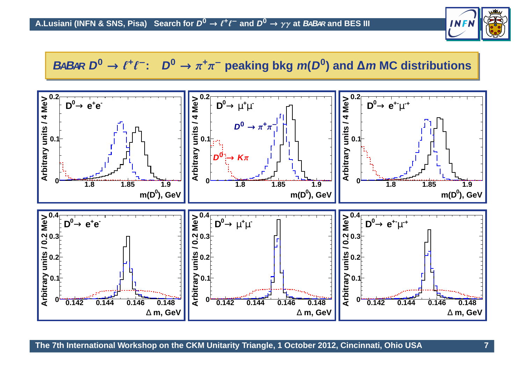

#### BABAR  $D^0 \rightarrow \ell^+\ell^-$ :  $D^0 \rightarrow \pi^+\pi^-$  peaking bkg  $m(D^0)$  and  $\Delta m$  MC distributions

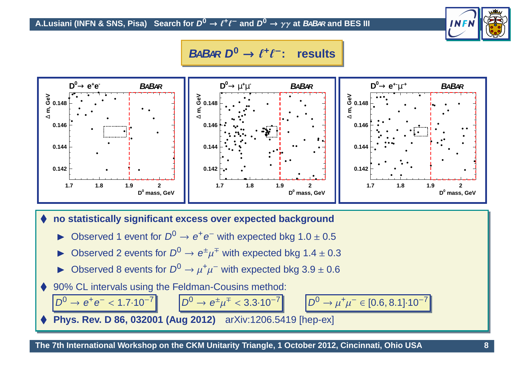#### A.Lusiani (INFN & SNS, Pisa)  $\,$  Search for  $D^0\to\ell^+\ell^-$  and  $D^0\to\gamma\gamma$  at *BaBa*r and BES III



#### **BABAR <sup>D</sup><sup>0</sup>** <sup>→</sup> <sup>ℓ</sup>**<sup>+</sup>**ℓ<sup>−</sup>**: results**

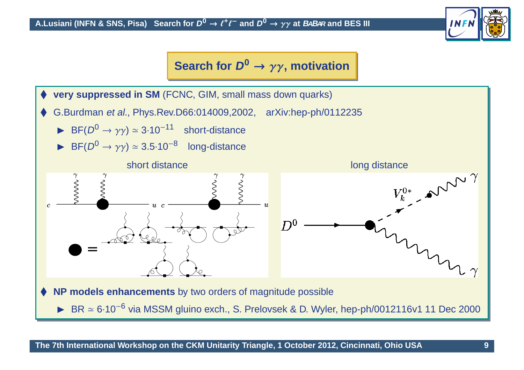

#### **Search for <sup>D</sup><sup>0</sup>** <sup>→</sup> γγ**, motivation**

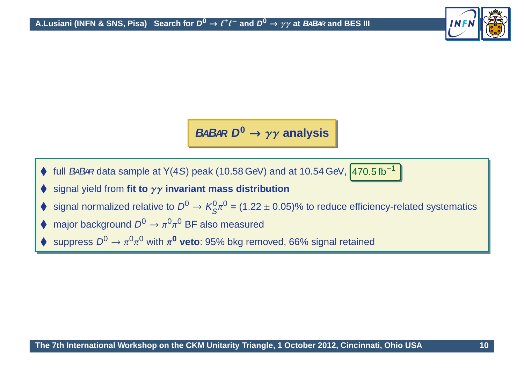

**BABAR <sup>D</sup><sup>0</sup>** <sup>→</sup> γγ **analysis**

- $\big\{\}$  full BABAR data sample at Y(4S) peak (10.58 GeV) and at 10.54 GeV,  $470.5$  fb<sup>-1</sup>
- ♦ signal yield from **fit to** γγ **invariant mass distribution**
- ♦  $\blacklozenge$  signal normalized relative to  $D^0 \to K^0_S \pi^0$  = (1.22 ± 0.05)% to reduce efficiency-related systematics
- ♦ • major background  $D^0 \to \pi^0 \pi^0$  BF also measured
- ♦  $\blacklozenge$  suppress  $D^0 \to \pi^0 \pi^0$  with  $\pi^0$  **veto**: 95% bkg removed, 66% signal retained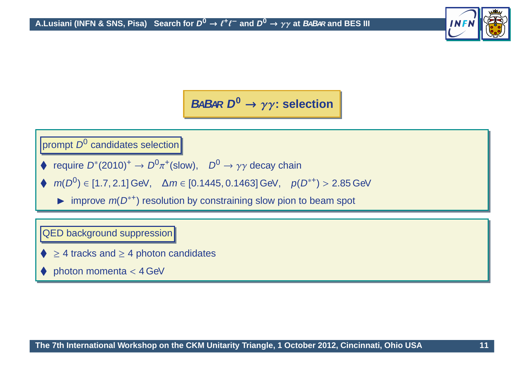

**BABAR <sup>D</sup><sup>0</sup>** <sup>→</sup> γγ**: selection**

prompt  $D^0$  candidates selection

- require  $D^*(2010)^+ \to D^0 \pi^*(\text{slow})$ ,  $D^0 \to \gamma \gamma$  decay chain
- $\blacklozenge$   $m(D^0) \in [1.7, 2.1]$  GeV,  $\Delta m \in [0.1445, 0.1463]$  GeV,  $p(D^{*+}) > 2.85$  GeV
	- $\blacktriangleright$  improve  $m(D^{*+})$  resolution by constraining slow pion to beam spot

QED background suppression

- ♦  $\geq$  4 tracks and  $\geq$  4 photon candidates
- ♦ photon momenta <sup>&</sup>lt; <sup>4</sup> GeV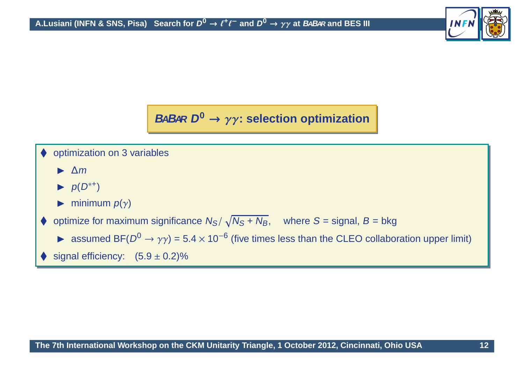

# **BABAR <sup>D</sup><sup>0</sup>** <sup>→</sup> γγ**: selection optimization**

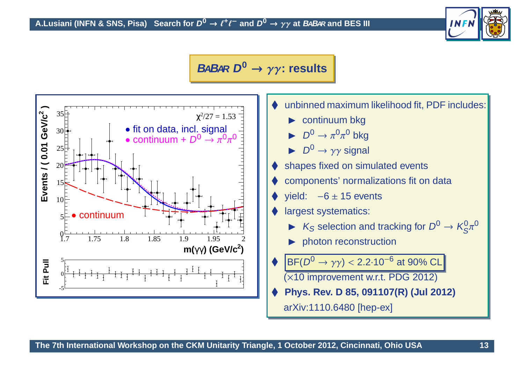

#### **BABAR <sup>D</sup><sup>0</sup>** <sup>→</sup> γγ**: results**

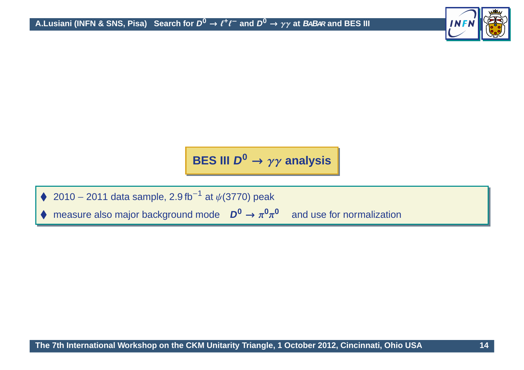

# **BES III <sup>D</sup><sup>0</sup>** <sup>→</sup> γγ **analysis**

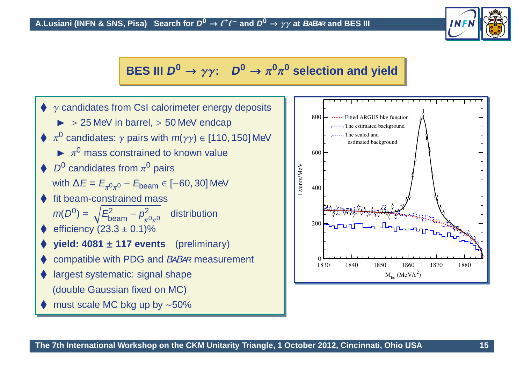

### **BES** III  $D^0 \rightarrow \gamma \gamma$ :  $D^0 \rightarrow \pi^0 \pi^0$  selection and yield



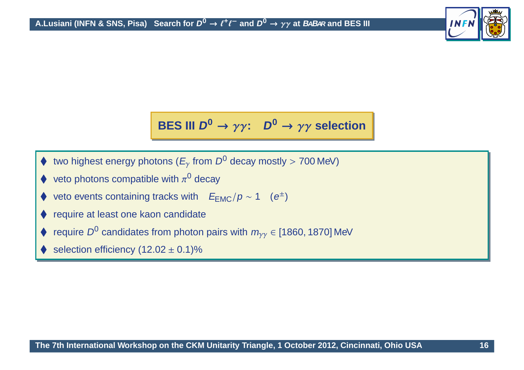

# **BES III <sup>D</sup><sup>0</sup>** <sup>→</sup> γγ**: <sup>D</sup><sup>0</sup>** <sup>→</sup> γγ **selection**

- ♦ two highest energy photons ( $E_{\gamma}$  from  $D^0$  decay mostly > 700 MeV)
- veto photons compatible with  $\pi^0$  decay
- ♦ veto events containing tracks with  $E_{EMC}/p \sim 1$  (e<sup>±</sup>)
- ♦ require at least one kaon candidate
- require  $D^0$  candidates from photon pairs with  $m_{\gamma\gamma}$   $\in$  [1860, 1870] MeV
- ♦ selection efficiency  $(12.02 \pm 0.1)\%$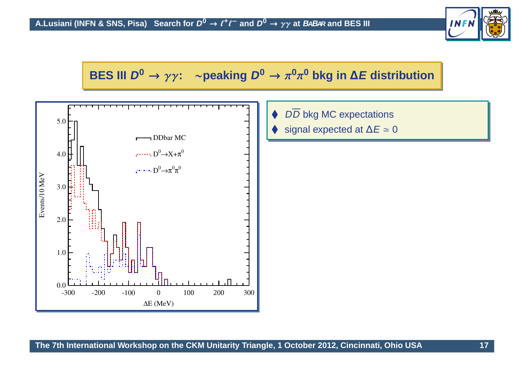

## **BES III <sup>D</sup><sup>0</sup>** <sup>→</sup> γγ**:** <sup>∼</sup>**peaking <sup>D</sup><sup>0</sup>** <sup>→</sup> <sup>π</sup>**0**π**<sup>0</sup> bkg in** <sup>∆</sup>**<sup>E</sup> distribution**



- ♦ ♦ DD bkg MC expectations
- ♦ signal expected at  $\Delta E \simeq 0$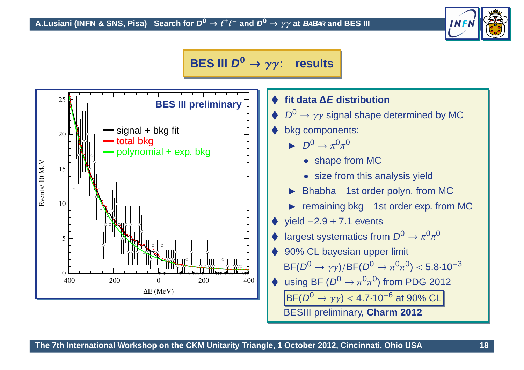

#### **BES III <sup>D</sup><sup>0</sup>** <sup>→</sup> γγ**: results**



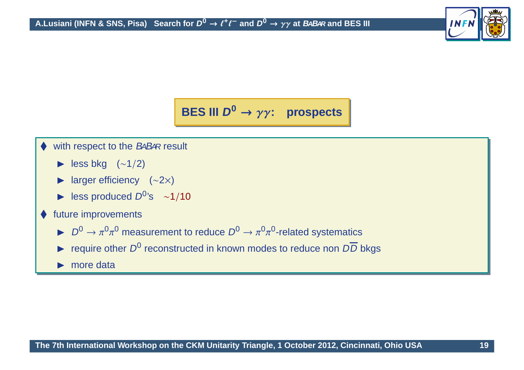

**BES III <sup>D</sup><sup>0</sup>** <sup>→</sup> γγ**: prospects**

- with respect to the BABAR result
	- $\blacktriangleright$  less bkg (∼1/2)
	- ► larger efficiency (∼2×)
	- A less produced  $D^{0}$ 's ~1/10
- ◆ future improvements
	- $D^0 \to \pi^0 \pi^0$  measurement to reduce  $D^0 \to \pi^0 \pi^0$ -related systematics
	- require other  $D^0$  reconstructed in known modes to reduce non  $D\overline{D}$  bkgs
	- ▶ more data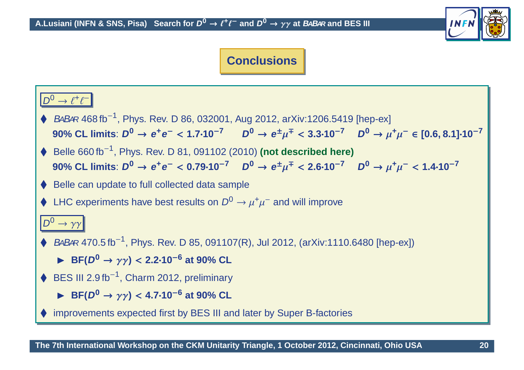

#### **Conclusions**

#### $D^0 \rightarrow \ell^+ \ell^-$

- ◆ BABAR 468 fb<sup>-1</sup>, Phys. Rev. D 86, 032001, Aug 2012, arXiv:1206.5419 [hep-ex] 90% CL limits:  $D^0 \to e^+e^- < 1.7{\cdot}10^{-7}$   $D^0 \to e^{\pm}\mu^{\mp} < 3.3{\cdot}10^{-7}$   $D^0 \to \mu^+\mu^- \in [0.6, 8.1]{\cdot}10^{-7}$
- ◆ Belle 660 fb<sup>-1</sup>, Phys. Rev. D 81, 091102 (2010) (not described here) 90% CL limits:  $D^0 \to e^+e^- < 0.79 \cdot 10^{-7}$   $D^0 \to e^{\pm} \mu^{\mp} < 2.6 \cdot 10^{-7}$   $D^0 \to \mu^+ \mu^- < 1.4 \cdot 10^{-7}$
- ♦ Belle can update to full collected data sample
- ♦ LHC experiments have best results on  $D^0 \to \mu^+ \mu^-$  and will improve

#### $D^0 \rightarrow \gamma \gamma$

- ◆ BABAR 470.5 fb<sup>-1</sup>, Phys. Rev. D 85, 091107(R), Jul 2012, (arXiv:1110.6480 [hep-ex])
	- ◮ **BF(D<sup>0</sup>** <sup>→</sup> γγ**)** <sup>&</sup>lt; **2.2**·**10**−**<sup>6</sup> at 90% CL**
- $\blacklozenge$  BES III 2.9 fb<sup>-1</sup>, Charm 2012, preliminary
	- ◮ **BF(D<sup>0</sup>** <sup>→</sup> γγ**)** <sup>&</sup>lt; **4.7**·**10**−**<sup>6</sup> at 90% CL**
- ♦ improvements expected first by BES III and later by Super B-factories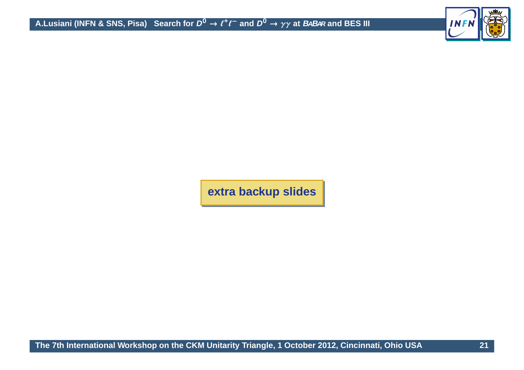

**extra backup slides**